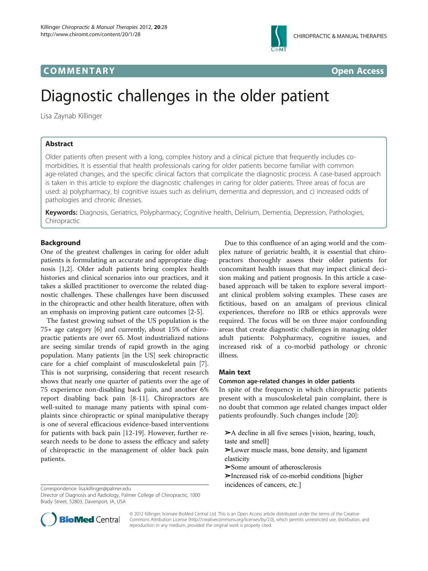

# COMM EN TARY Open Access



# Diagnostic challenges in the older patient

Lisa Zaynab Killinger

# Abstract

Older patients often present with a long, complex history and a clinical picture that frequently includes comorbidities. It is essential that health professionals caring for older patients become familiar with common age-related changes, and the specific clinical factors that complicate the diagnostic process. A case-based approach is taken in this article to explore the diagnostic challenges in caring for older patients. Three areas of focus are used: a) polypharmacy, b) cognitive issues such as delirium, dementia and depression, and c) increased odds of pathologies and chronic illnesses.

Keywords: Diagnosis, Geriatrics, Polypharmacy, Cognitive health, Delirium, Dementia, Depression, Pathologies, Chiropractic

# Background

One of the greatest challenges in caring for older adult patients is formulating an accurate and appropriate diagnosis [[1](#page-5-0),[2\]](#page-5-0). Older adult patients bring complex health histories and clinical scenarios into our practices, and it takes a skilled practitioner to overcome the related diagnostic challenges. These challenges have been discussed in the chiropractic and other health literature, often with an emphasis on improving patient care outcomes [\[2](#page-5-0)-[5\]](#page-5-0).

The fastest growing subset of the US population is the 75+ age category [\[6](#page-5-0)] and currently, about 15% of chiropractic patients are over 65. Most industrialized nations are seeing similar trends of rapid growth in the aging population. Many patients [in the US] seek chiropractic care for a chief complaint of musculoskeletal pain [\[7](#page-5-0)]. This is not surprising, considering that recent research shows that nearly one quarter of patients over the age of 75 experience non-disabling back pain, and another 6% report disabling back pain [\[8](#page-5-0)-[11\]](#page-5-0). Chiropractors are well-suited to manage many patients with spinal complaints since chiropractic or spinal manipulative therapy is one of several efficacious evidence-based interventions for patients with back pain [\[12](#page-5-0)-[19](#page-5-0)]. However, further research needs to be done to assess the efficacy and safety of chiropractic in the management of older back pain patients.

Due to this confluence of an aging world and the complex nature of geriatric health, it is essential that chiropractors thoroughly assess their older patients for concomitant health issues that may impact clinical decision making and patient prognosis. In this article a casebased approach will be taken to explore several important clinical problem solving examples. These cases are fictitious, based on an amalgam of previous clinical experiences, therefore no IRB or ethics approvals were required. The focus will be on three major confounding areas that create diagnostic challenges in managing older adult patients: Polypharmacy, cognitive issues, and increased risk of a co-morbid pathology or chronic illness.

# Main text

#### Common age-related changes in older patients

In spite of the frequency in which chiropractic patients present with a musculoskeletal pain complaint, there is no doubt that common age related changes impact older patients profoundly. Such changes include [\[20\]](#page-5-0):

- ➢A decline in all five senses [vision, hearing, touch, taste and smell]
- ➢Lower muscle mass, bone density, and ligament elasticity
- ➢Some amount of atherosclerosis
- ➢Increased risk of co-morbid conditions [higher incidences of cancers, etc.] Correspondence: lisa.killinger@palmer.edu



© 2012 Killinger; licensee BioMed Central Ltd. This is an Open Access article distributed under the terms of the Creative Commons Attribution License [\(http://creativecommons.org/licenses/by/2.0\)](http://creativecommons.org/licenses/by/2.0), which permits unrestricted use, distribution, and reproduction in any medium, provided the original work is properly cited.

Director of Diagnosis and Radiology, Palmer College of Chiropractic, 1000 Brady Street, 52803, Davenport, IA, USA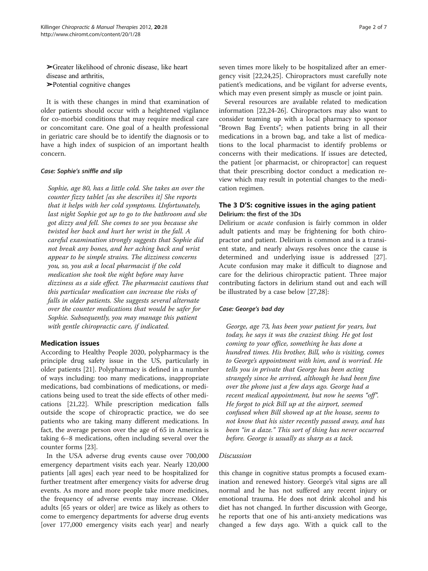➢Greater likelihood of chronic disease, like heart disease and arthritis, ➢Potential cognitive changes

It is with these changes in mind that examination of older patients should occur with a heightened vigilance for co-morbid conditions that may require medical care or concomitant care. One goal of a health professional in geriatric care should be to identify the diagnosis or to have a high index of suspicion of an important health concern.

### Case: Sophie's sniffle and slip

Sophie, age 80, has a little cold. She takes an over the counter fizzy tablet [as she describes it] She reports that it helps with her cold symptoms. Unfortunately, last night Sophie got up to go to the bathroom and she got dizzy and fell. She comes to see you because she twisted her back and hurt her wrist in the fall. A careful examination strongly suggests that Sophie did not break any bones, and her aching back and wrist appear to be simple strains. The dizziness concerns you, so, you ask a local pharmacist if the cold medication she took the night before may have dizziness as a side effect. The pharmacist cautions that this particular medication can increase the risks of falls in older patients. She suggests several alternate over the counter medications that would be safer for Sophie. Subsequently, you may manage this patient with gentle chiropractic care, if indicated.

# Medication issues

According to Healthy People 2020, polypharmacy is the principle drug safety issue in the US, particularly in older patients [[21\]](#page-5-0). Polypharmacy is defined in a number of ways including: too many medications, inappropriate medications, bad combinations of medications, or medications being used to treat the side effects of other medications [[21](#page-5-0),[22](#page-5-0)]. While prescription medication falls outside the scope of chiropractic practice, we do see patients who are taking many different medications. In fact, the average person over the age of 65 in America is taking 6–8 medications, often including several over the counter forms [[23\]](#page-5-0).

In the USA adverse drug events cause over 700,000 emergency department visits each year. Nearly 120,000 patients [all ages] each year need to be hospitalized for further treatment after emergency visits for adverse drug events. As more and more people take more medicines, the frequency of adverse events may increase. Older adults [65 years or older] are twice as likely as others to come to emergency departments for adverse drug events [over 177,000 emergency visits each year] and nearly

seven times more likely to be hospitalized after an emergency visit [\[22,24,25\]](#page-5-0). Chiropractors must carefully note patient's medications, and be vigilant for adverse events, which may even present simply as muscle or joint pain.

Several resources are available related to medication information [\[22,24](#page-5-0)-[26\]](#page-5-0). Chiropractors may also want to consider teaming up with a local pharmacy to sponsor "Brown Bag Events"; when patients bring in all their medications in a brown bag, and take a list of medications to the local pharmacist to identify problems or concerns with their medications. If issues are detected, the patient [or pharmacist, or chiropractor] can request that their prescribing doctor conduct a medication review which may result in potential changes to the medication regimen.

# The 3 D'S: cognitive issues in the aging patient Delirium: the first of the 3Ds

Delirium or acute confusion is fairly common in older adult patients and may be frightening for both chiropractor and patient. Delirium is common and is a transient state, and nearly always resolves once the cause is determined and underlying issue is addressed [\[27](#page-5-0)]. Acute confusion may make it difficult to diagnose and care for the delirious chiropractic patient. Three major contributing factors in delirium stand out and each will be illustrated by a case below [[27,28\]](#page-5-0):

#### Case: George's bad day

George, age 73, has been your patient for years, but today, he says it was the craziest thing. He got lost coming to your office, something he has done a hundred times. His brother, Bill, who is visiting, comes to George's appointment with him, and is worried. He tells you in private that George has been acting strangely since he arrived, although he had been fine over the phone just a few days ago. George had a recent medical appointment, but now he seems "off". He forgot to pick Bill up at the airport, seemed confused when Bill showed up at the house, seems to not know that his sister recently passed away, and has been "in a daze." This sort of thing has never occurred before. George is usually as sharp as a tack.

# Discussion

this change in cognitive status prompts a focused examination and renewed history. George's vital signs are all normal and he has not suffered any recent injury or emotional trauma. He does not drink alcohol and his diet has not changed. In further discussion with George, he reports that one of his anti-anxiety medications was changed a few days ago. With a quick call to the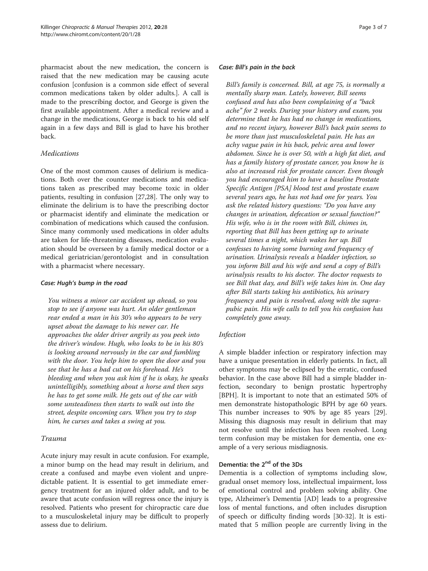pharmacist about the new medication, the concern is raised that the new medication may be causing acute confusion [confusion is a common side effect of several common medications taken by older adults.]. A call is made to the prescribing doctor, and George is given the first available appointment. After a medical review and a change in the medications, George is back to his old self again in a few days and Bill is glad to have his brother back.

# Medications

One of the most common causes of delirium is medications. Both over the counter medications and medications taken as prescribed may become toxic in older patients, resulting in confusion [[27,28\]](#page-5-0). The only way to eliminate the delirium is to have the prescribing doctor or pharmacist identify and eliminate the medication or combination of medications which caused the confusion. Since many commonly used medications in older adults are taken for life-threatening diseases, medication evaluation should be overseen by a family medical doctor or a medical geriatrician/gerontologist and in consultation with a pharmacist where necessary.

### Case: Hugh's bump in the road

You witness a minor car accident up ahead, so you stop to see if anyone was hurt. An older gentleman rear ended a man in his 30's who appears to be very upset about the damage to his newer car. He approaches the older driver angrily as you peek into the driver's window. Hugh, who looks to be in his 80's is looking around nervously in the car and fumbling with the door. You help him to open the door and you see that he has a bad cut on his forehead. He's bleeding and when you ask him if he is okay, he speaks unintelligibly, something about a horse and then says he has to get some milk. He gets out of the car with some unsteadiness then starts to walk out into the street, despite oncoming cars. When you try to stop him, he curses and takes a swing at you.

# Trauma

Acute injury may result in acute confusion. For example, a minor bump on the head may result in delirium, and create a confused and maybe even violent and unpredictable patient. It is essential to get immediate emergency treatment for an injured older adult, and to be aware that acute confusion will regress once the injury is resolved. Patients who present for chiropractic care due to a musculoskeletal injury may be difficult to properly assess due to delirium.

#### Case: Bill's pain in the back

Bill's family is concerned. Bill, at age 75, is normally a mentally sharp man. Lately, however, Bill seems confused and has also been complaining of a "back ache" for 2 weeks. During your history and exam, you determine that he has had no change in medications, and no recent injury, however Bill's back pain seems to be more than just musculoskeletal pain. He has an achy vague pain in his back, pelvic area and lower abdomen. Since he is over 50, with a high fat diet, and has a family history of prostate cancer, you know he is also at increased risk for prostate cancer. Even though you had encouraged him to have a baseline Prostate Specific Antigen [PSA] blood test and prostate exam several years ago, he has not had one for years. You ask the related history questions: "Do you have any changes in urination, defecation or sexual function?" His wife, who is in the room with Bill, chimes in, reporting that Bill has been getting up to urinate several times a night, which wakes her up. Bill confesses to having some burning and frequency of urination. Urinalysis reveals a bladder infection, so you inform Bill and his wife and send a copy of Bill's urinalysis results to his doctor. The doctor requests to see Bill that day, and Bill's wife takes him in. One day after Bill starts taking his antibiotics, his urinary frequency and pain is resolved, along with the suprapubic pain. His wife calls to tell you his confusion has completely gone away.

# Infection

A simple bladder infection or respiratory infection may have a unique presentation in elderly patients. In fact, all other symptoms may be eclipsed by the erratic, confused behavior. In the case above Bill had a simple bladder infection, secondary to benign prostatic hypertrophy [BPH]. It is important to note that an estimated 50% of men demonstrate histopathologic BPH by age 60 years. This number increases to 90% by age 85 years [\[29](#page-5-0)]. Missing this diagnosis may result in delirium that may not resolve until the infection has been resolved. Long term confusion may be mistaken for dementia, one example of a very serious misdiagnosis.

# Dementia: the 2<sup>nd</sup> of the 3Ds

Dementia is a collection of symptoms including slow, gradual onset memory loss, intellectual impairment, loss of emotional control and problem solving ability. One type, Alzheimer's Dementia [AD] leads to a progressive loss of mental functions, and often includes disruption of speech or difficulty finding words [\[30-32](#page-5-0)]. It is estimated that 5 million people are currently living in the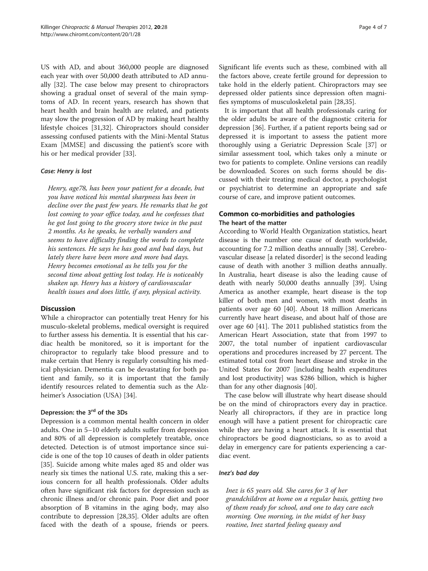US with AD, and about 360,000 people are diagnosed each year with over 50,000 death attributed to AD annually [\[32\]](#page-5-0). The case below may present to chiropractors showing a gradual onset of several of the main symptoms of AD. In recent years, research has shown that heart health and brain health are related, and patients may slow the progression of AD by making heart healthy lifestyle choices [\[31,32](#page-5-0)]. Chiropractors should consider assessing confused patients with the Mini-Mental Status Exam [MMSE] and discussing the patient's score with his or her medical provider [\[33](#page-5-0)].

### Case: Henry is lost

Henry, age78, has been your patient for a decade, but you have noticed his mental sharpness has been in decline over the past few years. He remarks that he got lost coming to your office today, and he confesses that he got lost going to the grocery store twice in the past 2 months. As he speaks, he verbally wanders and seems to have difficulty finding the words to complete his sentences. He says he has good and bad days, but lately there have been more and more bad days. Henry becomes emotional as he tells you for the second time about getting lost today. He is noticeably shaken up. Henry has a history of cardiovascular health issues and does little, if any, physical activity.

#### **Discussion**

While a chiropractor can potentially treat Henry for his musculo-skeletal problems, medical oversight is required to further assess his dementia. It is essential that his cardiac health be monitored, so it is important for the chiropractor to regularly take blood pressure and to make certain that Henry is regularly consulting his medical physician. Dementia can be devastating for both patient and family, so it is important that the family identify resources related to dementia such as the Alzheimer's Association (USA) [\[34](#page-6-0)].

# Depression: the 3<sup>rd</sup> of the 3Ds

Depression is a common mental health concern in older adults. One in 5–10 elderly adults suffer from depression and 80% of all depression is completely treatable, once detected. Detection is of utmost importance since suicide is one of the top 10 causes of death in older patients [[35\]](#page-6-0). Suicide among white males aged 85 and older was nearly six times the national U.S. rate, making this a serious concern for all health professionals. Older adults often have significant risk factors for depression such as chronic illness and/or chronic pain. Poor diet and poor absorption of B vitamins in the aging body, may also contribute to depression [[28,](#page-5-0)[35\]](#page-6-0). Older adults are often faced with the death of a spouse, friends or peers. Significant life events such as these, combined with all the factors above, create fertile ground for depression to take hold in the elderly patient. Chiropractors may see depressed older patients since depression often magnifies symptoms of musculoskeletal pain [\[28](#page-5-0)[,35](#page-6-0)].

It is important that all health professionals caring for the older adults be aware of the diagnostic criteria for depression [[36](#page-6-0)]. Further, if a patient reports being sad or depressed it is important to assess the patient more thoroughly using a Geriatric Depression Scale [[37\]](#page-6-0) or similar assessment tool, which takes only a minute or two for patients to complete. Online versions can readily be downloaded. Scores on such forms should be discussed with their treating medical doctor, a psychologist or psychiatrist to determine an appropriate and safe course of care, and improve patient outcomes.

# Common co-morbidities and pathologies The heart of the matter

According to World Health Organization statistics, heart disease is the number one cause of death worldwide, accounting for 7.2 million deaths annually [[38\]](#page-6-0). Cerebrovascular disease [a related disorder] is the second leading cause of death with another 3 million deaths annually. In Australia, heart disease is also the leading cause of death with nearly 50,000 deaths annually [\[39](#page-6-0)]. Using America as another example, heart disease is the top killer of both men and women, with most deaths in patients over age 60 [\[40](#page-6-0)]. About 18 million Americans currently have heart disease, and about half of those are over age 60 [\[41](#page-6-0)]. The 2011 published statistics from the American Heart Association, state that from 1997 to 2007, the total number of inpatient cardiovascular operations and procedures increased by 27 percent. The estimated total cost from heart disease and stroke in the United States for 2007 [including health expenditures and lost productivity] was \$286 billion, which is higher than for any other diagnosis [[40\]](#page-6-0).

The case below will illustrate why heart disease should be on the mind of chiropractors every day in practice. Nearly all chiropractors, if they are in practice long enough will have a patient present for chiropractic care while they are having a heart attack. It is essential that chiropractors be good diagnosticians, so as to avoid a delay in emergency care for patients experiencing a cardiac event.

#### Inez's bad day

Inez is 65 years old. She cares for 3 of her grandchildren at home on a regular basis, getting two of them ready for school, and one to day care each morning. One morning, in the midst of her busy routine, Inez started feeling queasy and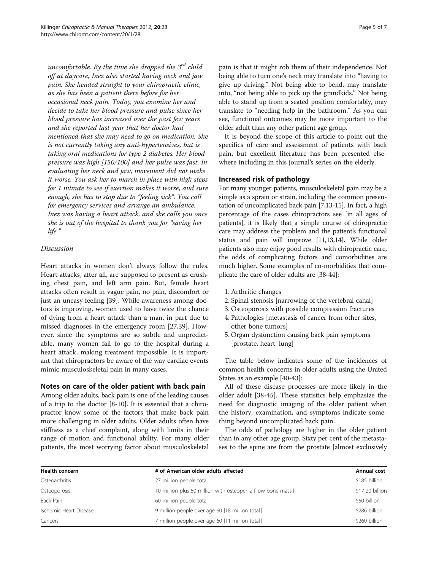uncomfortable. By the time she dropped the  $3^{rd}$  child off at daycare, Inez also started having neck and jaw pain. She headed straight to your chiropractic clinic, as she has been a patient there before for her occasional neck pain. Today, you examine her and decide to take her blood pressure and pulse since her blood pressure has increased over the past few years and she reported last year that her doctor had mentioned that she may need to go on medication. She is not currently taking any anti-hypertensives, but is taking oral medications for type 2 diabetes. Her blood pressure was high [150/100] and her pulse was fast. In evaluating her neck and jaw, movement did not make it worse. You ask her to march in place with high steps for 1 minute to see if exertion makes it worse, and sure enough, she has to stop due to "feeling sick". You call for emergency services and arrange an ambulance. Inez was having a heart attack, and she calls you once she is out of the hospital to thank you for "saving her life."

# Discussion

Heart attacks in women don't always follow the rules. Heart attacks, after all, are supposed to present as crushing chest pain, and left arm pain. But, female heart attacks often result in vague pain, no pain, discomfort or just an uneasy feeling [\[39](#page-6-0)]. While awareness among doctors is improving, women used to have twice the chance of dying from a heart attack than a man, in part due to missed diagnoses in the emergency room [[27](#page-5-0),[39](#page-6-0)]. However, since the symptoms are so subtle and unpredictable, many women fail to go to the hospital during a heart attack, making treatment impossible. It is important that chiropractors be aware of the way cardiac events mimic musculoskeletal pain in many cases.

# Notes on care of the older patient with back pain

Among older adults, back pain is one of the leading causes of a trip to the doctor [\[8-10](#page-5-0)]. It is essential that a chiropractor know some of the factors that make back pain more challenging in older adults. Older adults often have stiffness as a chief complaint, along with limits in their range of motion and functional ability. For many older patients, the most worrying factor about musculoskeletal

pain is that it might rob them of their independence. Not being able to turn one's neck may translate into "having to give up driving." Not being able to bend, may translate into, "not being able to pick up the grandkids." Not being able to stand up from a seated position comfortably, may translate to "needing help in the bathroom." As you can see, functional outcomes may be more important to the older adult than any other patient age group.

It is beyond the scope of this article to point out the specifics of care and assessment of patients with back pain, but excellent literature has been presented elsewhere including in this journal's series on the elderly.

# Increased risk of pathology

For many younger patients, musculoskeletal pain may be a simple as a sprain or strain, including the common presentation of uncomplicated back pain [\[7,13-15\]](#page-5-0). In fact, a high percentage of the cases chiropractors see [in all ages of patients], it is likely that a simple course of chiropractic care may address the problem and the patient's functional status and pain will improve [\[11,13,14](#page-5-0)]. While older patients also may enjoy good results with chiropractic care, the odds of complicating factors and comorbidities are much higher. Some examples of co-morbidities that complicate the care of older adults are [\[38-44\]](#page-6-0):

- 1. Arthritic changes
- 2. Spinal stenosis [narrowing of the vertebral canal]
- 3. Osteoporosis with possible compression fractures
- 4. Pathologies [metastasis of cancer from other sites, other bone tumors]
- 5. Organ dysfunction causing back pain symptoms [prostate, heart, lung]

The table below indicates some of the incidences of common health concerns in older adults using the United States as an example [[40](#page-6-0)-[43](#page-6-0)]:

All of these disease processes are more likely in the older adult [[38](#page-6-0)-[45\]](#page-6-0). These statistics help emphasize the need for diagnostic imaging of the older patient when the history, examination, and symptoms indicate something beyond uncomplicated back pain.

The odds of pathology are higher in the older patient than in any other age group. Sixty per cent of the metastases to the spine are from the prostate [almost exclusively

| Health concern         | # of American older adults affected                        | Annual cost     |
|------------------------|------------------------------------------------------------|-----------------|
| Osteoarthritis         | 27 million people total                                    | \$185 billion   |
| Osteoporosis           | 10 million plus 50 million with osteopenia [low bone mass] | \$17-20 billion |
| Back Pain              | 60 million people total                                    | \$50 billion    |
| Ischemic Heart Disease | 9 million people over age 60 [18 million total]            | \$286 billion   |
| Cancers                | 7 million people over age 60 [11 million total]            | \$260 billion   |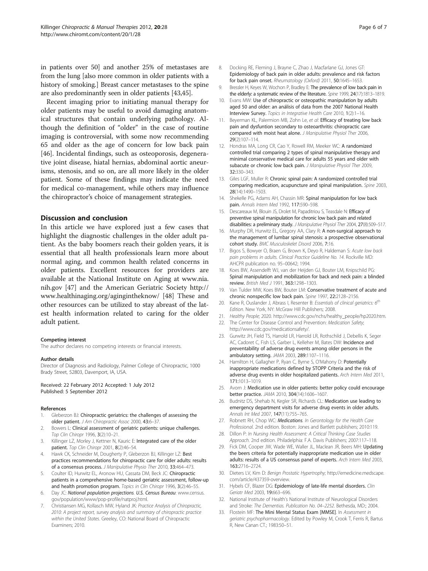<span id="page-5-0"></span>in patients over 50] and another 25% of metastases are from the lung [also more common in older patients with a history of smoking.] Breast cancer metastases to the spine are also predominantly seen in older patients [[43,45\]](#page-6-0).

Recent imaging prior to initiating manual therapy for older patients may be useful to avoid damaging anatomical structures that contain underlying pathology. Although the definition of "older" in the case of routine imaging is controversial, with some now recommending 65 and older as the age of concern for low back pain [[46\]](#page-6-0). Incidental findings, such as osteoporosis, degenerative joint disease, hiatal hernias, abdominal aortic aneurisms, stenosis, and so on, are all more likely in the older patient. Some of these findings may indicate the need for medical co-management, while others may influence the chiropractor's choice of management strategies.

### Discussion and conclusion

In this article we have explored just a few cases that highlight the diagnostic challenges in the older adult patient. As the baby boomers reach their golden years, it is essential that all health professionals learn more about normal aging, and common health related concerns in older patients. Excellent resources for providers are available at the National Institute on Aging at [www.nia.](http://www.nia.nih.gov) [nih.gov](http://www.nia.nih.gov) [[47\]](#page-6-0) and the American Geriatric Society [http://](http://www.healthinaging.org/agingintheknow/) [www.healthinaging.org/agingintheknow/](http://www.healthinaging.org/agingintheknow/) [[48](#page-6-0)] These and other resources can be utilized to stay abreast of the latest health information related to caring for the older adult patient.

#### Competing interest

The author declares no competing interests or financial interests.

#### Author details

Director of Diagnosis and Radiology, Palmer College of Chiropractic, 1000 Brady Street, 52803, Davenport, IA, USA.

#### Received: 22 February 2012 Accepted: 1 July 2012 Published: 5 September 2012

#### References

- 1. Gleberzon BJ: Chiropractic geriatrics: the challenges of assessing the older patient. J Am Chiropractic Assoc 2000, 43:6–37.
- Bowers L: Clinical assessment of geriatric patients: unique challenges. Top Clin Chiropr 1996, 3(2):10–21.
- 3. Killinger LZ, Morley J, Kettner N, Kauric E: Integrated care of the older patient. Top Clin Chiropr 2001, 8(2):46–54.
- 4. Hawk CK, Schneider M, Dougherty P, Gleberzon BJ, Killinger LZ: Best practices recommendations for chiropractic care for older adults: results of a consensus process. J Manipulative Physio Ther 2010, 33:464–473.
- Coulter ID, Hurwitz EL, Aronow HU, Cassata DM, Beck JC: Chiropractic patients in a comprehensive home-based geriatric assessment, follow-up and health promotion program. Topics in Clin Chiropr 1996, 3(2):46-55.
- Day JC: National population projections. U.S. Census Bureau: [www.census.](www.census.gov/population/www/pop-profile/natproj.html) [gov/population/www/pop-profile/natproj.html.](www.census.gov/population/www/pop-profile/natproj.html)
- Christiansen MG, Kollasch MW, Hyland JK: Practice Analysis of Chiropractic, 2010: A project report, survey analysis and summary of chiropractic practice within the United States. Greeley, CO: National Board of Chiropractic Examiners; 2010.
- 8. Docking RE, Fleming J, Brayne C, Zhao J, Macfarlane GJ, Jones GT: Epidemiology of back pain in older adults: prevalence and risk factors for back pain onset. Rheumatology (Oxford) 2011, 50:1645–1653.
- 9. Bressler H, Keyes W, Wochon P, Bradley E: The prevalence of low back pain in the elderly: a systematic review of the literature. Spine 1999, 24(17):1813-1819.
- 10. Evans MW: Use of chiropractic or osteopathic manipulation by adults aged 50 and older: an análisis of data from the 2007 National Health Interview Survey. Topics in Integrative Health Care 2010, 1(2):1–16.
- 11. Beyerman KL, Palermion MB, Zohn Le, et al: Efficacy of treating low back pain and dysfuntion secondary to osteoarthritis: chiropractic care compared with moist heat alone. J Manipulative Physiol Ther 2006, 29(2):107–114.
- 12. Hondras MA, Long CR, Cao Y, Rowell RM, Meeker WC: A randomized controlled trial comparing 2 types of spinal manipulative therapy and minimal conservative medical care for adults 55 years and older with subacute or chronic low back pain. J Manipulative Physiol Ther 2009, 32:330–343.
- 13. Giles LGF, Muller R: Chronic spinal pain: A randomized controlled trial comparing medication, acupuncture and spinal manipulation. Spine 2003, 28(14):1490–1503.
- 14. Shekelle PG, Adams AH, Chassin MR: Spinal manipulation for low back pain. Annals Intern Med 1992, 117:590–598.
- 15. Descareaux M, Blouin JS, Drolet M, Papaditriou S, Teasdale N: Efficacy of preventive spinal manipulation for chronic low back pain and related disabilities: a preliminary study. J Manipulative Physiol Ther 2004, 27(8):509-517.
- 16. Murphy DR, Hurwitz EL, Gregory AA, Clary R: A non-surgical approach to the management of lumbar spinal stenosis: a prospective observational cohort study. BMC Musculoskelet Disord 2006, 7:16.
- 17. Bigos S, Bowyer O, Braen G, Brown K, Deyo R, Haldeman S: Acute low back pain problems in adults. Clinical Practice Guideline No. 14. Rockville MD: AHCPR publication no. 95–00642; 1994.
- 18. Koes BW, Assendelft WJ, van der Heijden GJ, Bouter LM, Knipschild PG: Spinal manipulation and mobilization for back and neck pain: a blinded review. British Med J 1991, 363:1298–1303.
- 19. Van Tulder MW, Koes BW, Bouter LM: Conservative treatment of acute and chronic nonspecific low back pain. Spine 1997, 22:2128-2156.
- 20. Kane R, Ouslander J, Abrass I, Resenter B: Essentials of clinical geriatrics:  $6<sup>th</sup>$ Edition. New York, NY: McGraw Hill Publishers; 2008.
- 21. Healthy People; 2020. [http://www.cdc.gov/nchs/healthy\\_people/hp2020.htm](http://www.cdc.gov/nchs/healthy_people/hp2020.htm).
- 22. The Center for Disease Control and Prevention: Medication Safety; [http://www.cdc.gov/medicationsafety/.](http://www.cdc.gov/medicationsafety/)
- 23. Gurwitz JH, Field TS, Harrold LR, Harrold LR, Rothschild J, Debellis K, Seger AC, Cadoret C, Fish LS, Garber L, Kelleher M, Bates DW: Incidence and preventability of adverse drug events among older persons in the ambulatory setting. JAMA 2003, 289:1107–1116.
- 24. Hamilton H, Gallagher P, Ryan C, Byrne S, O'Mahony D: Potentially inappropriate medications defined by STOPP Criteria and the risk of adverse drug events in older hospitalized patients. Arch Intern Med 2011, 171:1013–1019.
- 25. Avorn J: Medication use in older patients: better policy could encourage better practice. JAMA 2010, 304(14):1606–1607.
- 26. Budnitz DS, Shehab N, Kegler SR, Richards CL: Medication use leading to emergency department visits for adverse drug events in older adults. Annals Int Med 2007, 147(11):755–765.
- 27. Robnett RH, Chop WC: Medications. In Gerontology for the Health Care Professional. 2nd edition. Boston: Jones and Bartlett publishers; 2010:119.
- 28. Dillon P: In Nursing Health Assessment: A Critical Thinking Case Studies Approach. 2nd edition. Philadelphia: F.A. Davis Publishers; 2007:117–118.
- 29. Fick DM, Cooper JW, Wade WE, Waller JL, Maclean JR, Beers MH: Updating the beers criteria for potentially inappropriate medication use in older adults: results of a US consensus panel of experts. Arch Intern Med 2003, 163:2716–2724.
- 30. Dieters LV, Kim D: Benign Prostatic Hypertrophy; [http://emedicine.medscape.](http://emedicine.medscape.com/article/437359-overview) [com/article/437359-overview](http://emedicine.medscape.com/article/437359-overview).
- 31. Hybels CF, Blazer DG: Epidemiology of late-life mental disorders. Clin Geriatr Med 2003, 19:663–696.
- 32. National Institute of Health's National Institute of Neurological Disorders and Stroke: The Dementias. Publication No. 04–2252. Bethesda, MD:; 2004.
- 33. Flostein MF: The Mini Mental Status Exam [MMSE]. In Assessment in geriatric psychopharmacology. Edited by Powley M, Crook T, Ferris R, Bartus R, New Canan CT.; 1983:50–51.